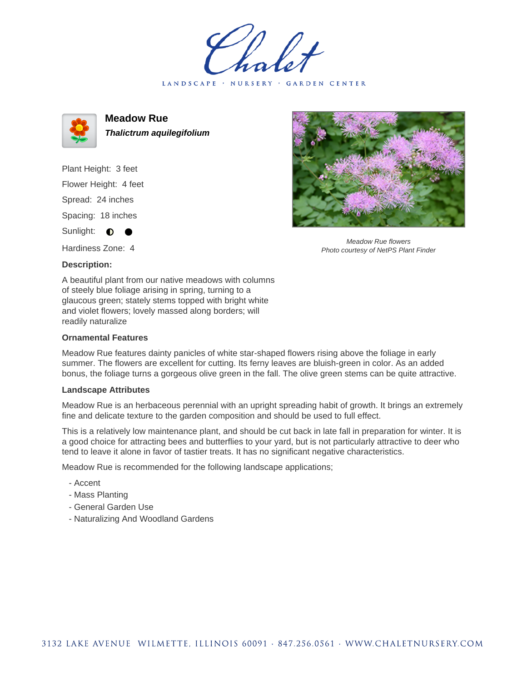LANDSCAPE · NURSERY · GARDEN CENTER



**Meadow Rue Thalictrum aquilegifolium**

Plant Height: 3 feet Flower Height: 4 feet Spread: 24 inches Spacing: 18 inches Sunlight:  $\bullet$ 

Hardiness Zone: 4

## **Description:**

A beautiful plant from our native meadows with columns of steely blue foliage arising in spring, turning to a glaucous green; stately stems topped with bright white and violet flowers; lovely massed along borders; will readily naturalize

## **Ornamental Features**

Meadow Rue features dainty panicles of white star-shaped flowers rising above the foliage in early summer. The flowers are excellent for cutting. Its ferny leaves are bluish-green in color. As an added bonus, the foliage turns a gorgeous olive green in the fall. The olive green stems can be quite attractive.

## **Landscape Attributes**

Meadow Rue is an herbaceous perennial with an upright spreading habit of growth. It brings an extremely fine and delicate texture to the garden composition and should be used to full effect.

This is a relatively low maintenance plant, and should be cut back in late fall in preparation for winter. It is a good choice for attracting bees and butterflies to your yard, but is not particularly attractive to deer who tend to leave it alone in favor of tastier treats. It has no significant negative characteristics.

Meadow Rue is recommended for the following landscape applications;

- Accent
- Mass Planting
- General Garden Use
- Naturalizing And Woodland Gardens



Meadow Rue flowers Photo courtesy of NetPS Plant Finder